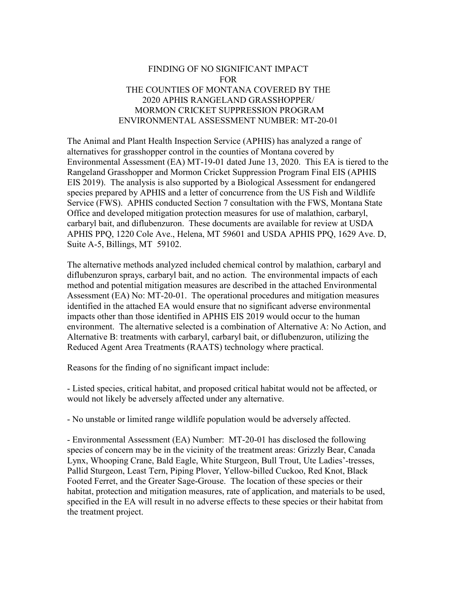## FINDING OF NO SIGNIFICANT IMPACT FOR THE COUNTIES OF MONTANA COVERED BY THE 2020 APHIS RANGELAND GRASSHOPPER/ MORMON CRICKET SUPPRESSION PROGRAM ENVIRONMENTAL ASSESSMENT NUMBER: MT-20-01

The Animal and Plant Health Inspection Service (APHIS) has analyzed a range of alternatives for grasshopper control in the counties of Montana covered by Environmental Assessment (EA) MT-19-01 dated June 13, 2020. This EA is tiered to the Rangeland Grasshopper and Mormon Cricket Suppression Program Final EIS (APHIS EIS 2019). The analysis is also supported by a Biological Assessment for endangered species prepared by APHIS and a letter of concurrence from the US Fish and Wildlife Service (FWS). APHIS conducted Section 7 consultation with the FWS, Montana State Office and developed mitigation protection measures for use of malathion, carbaryl, carbaryl bait, and diflubenzuron. These documents are available for review at USDA APHIS PPQ, 1220 Cole Ave., Helena, MT 59601 and USDA APHIS PPQ, 1629 Ave. D, Suite A-5, Billings, MT 59102.

The alternative methods analyzed included chemical control by malathion, carbaryl and diflubenzuron sprays, carbaryl bait, and no action. The environmental impacts of each method and potential mitigation measures are described in the attached Environmental Assessment (EA) No: MT-20-01. The operational procedures and mitigation measures identified in the attached EA would ensure that no significant adverse environmental impacts other than those identified in APHIS EIS 2019 would occur to the human environment. The alternative selected is a combination of Alternative A: No Action, and Alternative B: treatments with carbaryl, carbaryl bait, or diflubenzuron, utilizing the Reduced Agent Area Treatments (RAATS) technology where practical.

Reasons for the finding of no significant impact include:

- Listed species, critical habitat, and proposed critical habitat would not be affected, or would not likely be adversely affected under any alternative.

- No unstable or limited range wildlife population would be adversely affected.

- Environmental Assessment (EA) Number: MT-20-01 has disclosed the following species of concern may be in the vicinity of the treatment areas: Grizzly Bear, Canada Lynx, Whooping Crane, Bald Eagle, White Sturgeon, Bull Trout, Ute Ladies'-tresses, Pallid Sturgeon, Least Tern, Piping Plover, Yellow-billed Cuckoo, Red Knot, Black Footed Ferret, and the Greater Sage-Grouse. The location of these species or their habitat, protection and mitigation measures, rate of application, and materials to be used, specified in the EA will result in no adverse effects to these species or their habitat from the treatment project.